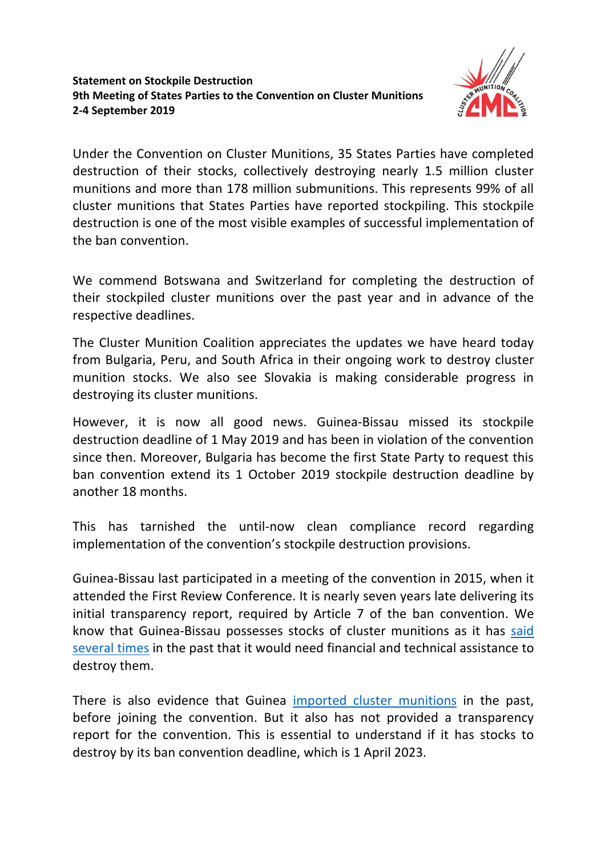## **Statement on Stockpile Destruction 9th Meeting of States Parties to the Convention on Cluster Munitions 2-4 September 2019**



Under the Convention on Cluster Munitions, 35 States Parties have completed destruction of their stocks, collectively destroying nearly 1.5 million cluster munitions and more than 178 million submunitions. This represents 99% of all cluster munitions that States Parties have reported stockpiling. This stockpile destruction is one of the most visible examples of successful implementation of the ban convention.

We commend Botswana and Switzerland for completing the destruction of their stockpiled cluster munitions over the past year and in advance of the respective deadlines.

The Cluster Munition Coalition appreciates the updates we have heard today from Bulgaria, Peru, and South Africa in their ongoing work to destroy cluster munition stocks. We also see Slovakia is making considerable progress in destroying its cluster munitions.

However, it is now all good news. Guinea-Bissau missed its stockpile destruction deadline of 1 May 2019 and has been in violation of the convention since then. Moreover, Bulgaria has become the first State Party to request this ban convention extend its 1 October 2019 stockpile destruction deadline by another 18 months.

This has tarnished the until-now clean compliance record regarding implementation of the convention's stockpile destruction provisions.

Guinea-Bissau last participated in a meeting of the convention in 2015, when it attended the First Review Conference. It is nearly seven years late delivering its initial transparency report, required by Article 7 of the ban convention. We know that Guinea-Bissau possesses stocks of cluster munitions as it has said several times in the past that it would need financial and technical assistance to destroy them.

There is also evidence that Guinea imported cluster munitions in the past, before joining the convention. But it also has not provided a transparency report for the convention. This is essential to understand if it has stocks to destroy by its ban convention deadline, which is 1 April 2023.